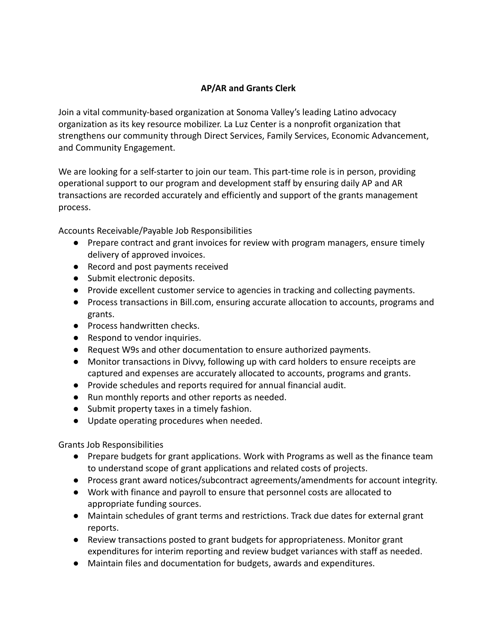## **AP/AR and Grants Clerk**

Join a vital community-based organization at Sonoma Valley's leading Latino advocacy organization as its key resource mobilizer. La Luz Center is a nonprofit organization that strengthens our community through Direct Services, Family Services, Economic Advancement, and Community Engagement.

We are looking for a self-starter to join our team. This part-time role is in person, providing operational support to our program and development staff by ensuring daily AP and AR transactions are recorded accurately and efficiently and support of the grants management process.

Accounts Receivable/Payable Job Responsibilities

- Prepare contract and grant invoices for review with program managers, ensure timely delivery of approved invoices.
- Record and post payments received
- Submit electronic deposits.
- Provide excellent customer service to agencies in tracking and collecting payments.
- Process transactions in Bill.com, ensuring accurate allocation to accounts, programs and grants.
- Process handwritten checks.
- Respond to vendor inquiries.
- Request W9s and other documentation to ensure authorized payments.
- Monitor transactions in Divvy, following up with card holders to ensure receipts are captured and expenses are accurately allocated to accounts, programs and grants.
- Provide schedules and reports required for annual financial audit.
- Run monthly reports and other reports as needed.
- Submit property taxes in a timely fashion.
- Update operating procedures when needed.

## Grants Job Responsibilities

- Prepare budgets for grant applications. Work with Programs as well as the finance team to understand scope of grant applications and related costs of projects.
- Process grant award notices/subcontract agreements/amendments for account integrity.
- Work with finance and payroll to ensure that personnel costs are allocated to appropriate funding sources.
- Maintain schedules of grant terms and restrictions. Track due dates for external grant reports.
- Review transactions posted to grant budgets for appropriateness. Monitor grant expenditures for interim reporting and review budget variances with staff as needed.
- Maintain files and documentation for budgets, awards and expenditures.